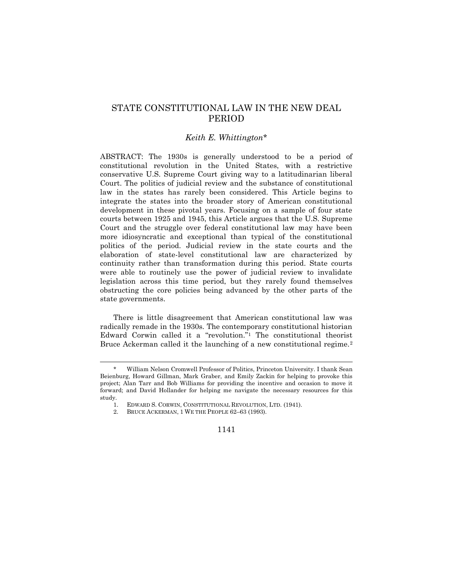# STATE CONSTITUTIONAL LAW IN THE NEW DEAL PERIOD

## *Keith E. Whittington*\*

ABSTRACT: The 1930s is generally understood to be a period of constitutional revolution in the United States, with a restrictive conservative U.S. Supreme Court giving way to a latitudinarian liberal Court. The politics of judicial review and the substance of constitutional law in the states has rarely been considered. This Article begins to integrate the states into the broader story of American constitutional development in these pivotal years. Focusing on a sample of four state courts between 1925 and 1945, this Article argues that the U.S. Supreme Court and the struggle over federal constitutional law may have been more idiosyncratic and exceptional than typical of the constitutional politics of the period. Judicial review in the state courts and the elaboration of state-level constitutional law are characterized by continuity rather than transformation during this period. State courts were able to routinely use the power of judicial review to invalidate legislation across this time period, but they rarely found themselves obstructing the core policies being advanced by the other parts of the state governments.

There is little disagreement that American constitutional law was radically remade in the 1930s. The contemporary constitutional historian Edward Corwin called it a "revolution."<sup>1</sup> The constitutional theorist Bruce Ackerman called it the launching of a new constitutional regime.<sup>2</sup>

William Nelson Cromwell Professor of Politics, Princeton University. I thank Sean Beienburg, Howard Gillman, Mark Graber, and Emily Zackin for helping to provoke this project; Alan Tarr and Bob Williams for providing the incentive and occasion to move it forward; and David Hollander for helping me navigate the necessary resources for this study.

<sup>1.</sup> EDWARD S. CORWIN, CONSTITUTIONAL REVOLUTION, LTD. (1941).

<sup>2.</sup> BRUCE ACKERMAN, 1 WE THE PEOPLE 62–63 (1993).

<sup>1141</sup>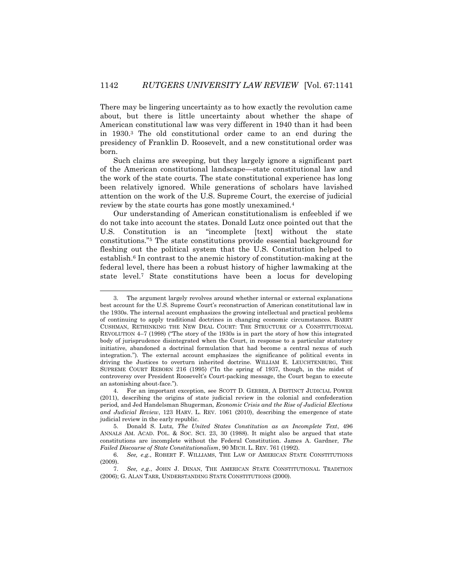There may be lingering uncertainty as to how exactly the revolution came about, but there is little uncertainty about whether the shape of American constitutional law was very different in 1940 than it had been in 1930.<sup>3</sup> The old constitutional order came to an end during the presidency of Franklin D. Roosevelt, and a new constitutional order was born.

Such claims are sweeping, but they largely ignore a significant part of the American constitutional landscape—state constitutional law and the work of the state courts. The state constitutional experience has long been relatively ignored. While generations of scholars have lavished attention on the work of the U.S. Supreme Court, the exercise of judicial review by the state courts has gone mostly unexamined.<sup>4</sup>

Our understanding of American constitutionalism is enfeebled if we do not take into account the states. Donald Lutz once pointed out that the U.S. Constitution is an "incomplete [text] without the state constitutions."<sup>5</sup> The state constitutions provide essential background for fleshing out the political system that the U.S. Constitution helped to establish.<sup>6</sup> In contrast to the anemic history of constitution-making at the federal level, there has been a robust history of higher lawmaking at the state level.<sup>7</sup> State constitutions have been a locus for developing

<sup>3.</sup> The argument largely revolves around whether internal or external explanations best account for the U.S. Supreme Court's reconstruction of American constitutional law in the 1930s. The internal account emphasizes the growing intellectual and practical problems of continuing to apply traditional doctrines in changing economic circumstances. BARRY CUSHMAN, RETHINKING THE NEW DEAL COURT: THE STRUCTURE OF A CONSTITUTIONAL REVOLUTION 4–7 (1998) ("The story of the 1930s is in part the story of how this integrated body of jurisprudence disintegrated when the Court, in response to a particular statutory initiative, abandoned a doctrinal formulation that had become a central nexus of such integration."). The external account emphasizes the significance of political events in driving the Justices to overturn inherited doctrine. WILLIAM E. LEUCHTENBURG, THE SUPREME COURT REBORN 216 (1995) ("In the spring of 1937, though, in the midst of controversy over President Roosevelt's Court-packing message, the Court began to execute an astonishing about-face.").

<sup>4.</sup> For an important exception, see SCOTT D. GERBER, A DISTINCT JUDICIAL POWER (2011), describing the origins of state judicial review in the colonial and confederation period, and Jed Handelsman Shugerman, *Economic Crisis and the Rise of Judicial Elections and Judicial Review*, 123 HARV. L. REV. 1061 (2010), describing the emergence of state judicial review in the early republic.

<sup>5.</sup> Donald S. Lutz, *The United States Constitution as an Incomplete Text*, 496 ANNALS AM. ACAD. POL. & SOC. SCI. 23, 30 (1988). It might also be argued that state constitutions are incomplete without the Federal Constitution. James A. Gardner, *The Failed Discourse of State Constitutionalism*, 90 MICH. L. REV. 761 (1992).

<sup>6.</sup> *See, e.g.*, ROBERT F. WILLIAMS, THE LAW OF AMERICAN STATE CONSTITUTIONS (2009).

<sup>7.</sup> *See, e.g.*, JOHN J. DINAN, THE AMERICAN STATE CONSTITUTIONAL TRADITION (2006); G. ALAN TARR, UNDERSTANDING STATE CONSTITUTIONS (2000).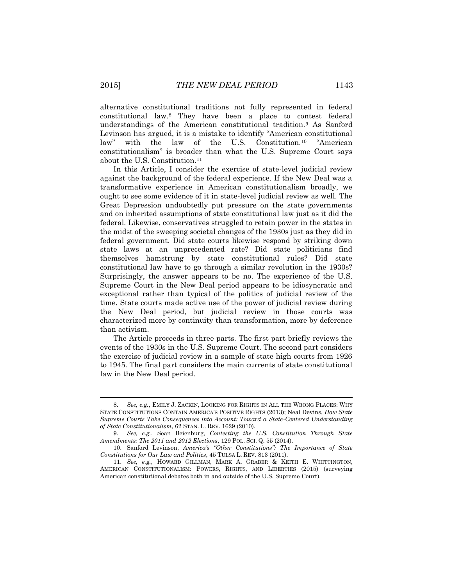alternative constitutional traditions not fully represented in federal constitutional law.<sup>8</sup> They have been a place to contest federal understandings of the American constitutional tradition.<sup>9</sup> As Sanford Levinson has argued, it is a mistake to identify "American constitutional law" with the law of the U.S. Constitution.<sup>10</sup> "American constitutionalism" is broader than what the U.S. Supreme Court says about the U.S. Constitution.<sup>11</sup>

In this Article, I consider the exercise of state-level judicial review against the background of the federal experience. If the New Deal was a transformative experience in American constitutionalism broadly, we ought to see some evidence of it in state-level judicial review as well. The Great Depression undoubtedly put pressure on the state governments and on inherited assumptions of state constitutional law just as it did the federal. Likewise, conservatives struggled to retain power in the states in the midst of the sweeping societal changes of the 1930s just as they did in federal government. Did state courts likewise respond by striking down state laws at an unprecedented rate? Did state politicians find themselves hamstrung by state constitutional rules? Did state constitutional law have to go through a similar revolution in the 1930s? Surprisingly, the answer appears to be no. The experience of the U.S. Supreme Court in the New Deal period appears to be idiosyncratic and exceptional rather than typical of the politics of judicial review of the time. State courts made active use of the power of judicial review during the New Deal period, but judicial review in those courts was characterized more by continuity than transformation, more by deference than activism.

The Article proceeds in three parts. The first part briefly reviews the events of the 1930s in the U.S. Supreme Court. The second part considers the exercise of judicial review in a sample of state high courts from 1926 to 1945. The final part considers the main currents of state constitutional law in the New Deal period.

<sup>8.</sup> *See, e.g.*, EMILY J. ZACKIN, LOOKING FOR RIGHTS IN ALL THE WRONG PLACES: WHY STATE CONSTITUTIONS CONTAIN AMERICA'S POSITIVE RIGHTS (2013); Neal Devins, *How State Supreme Courts Take Consequences into Account: Toward a State-Centered Understanding of State Constitutionalism*, 62 STAN. L. REV. 1629 (2010).

<sup>9.</sup> *See, e.g.*, Sean Beienburg, *Contesting the U.S. Constitution Through State Amendments: The 2011 and 2012 Elections*, 129 POL. SCI. Q. 55 (2014).

<sup>10.</sup> Sanford Levinson, *America's "Other Constitutions": The Importance of State Constitutions for Our Law and Politics*, 45 TULSA L. REV. 813 (2011).

<sup>11.</sup> *See, e.g.*, HOWARD GILLMAN, MARK A. GRABER & KEITH E. WHITTINGTON, AMERICAN CONSTITUTIONALISM: POWERS, RIGHTS, AND LIBERTIES (2015) (surveying American constitutional debates both in and outside of the U.S. Supreme Court).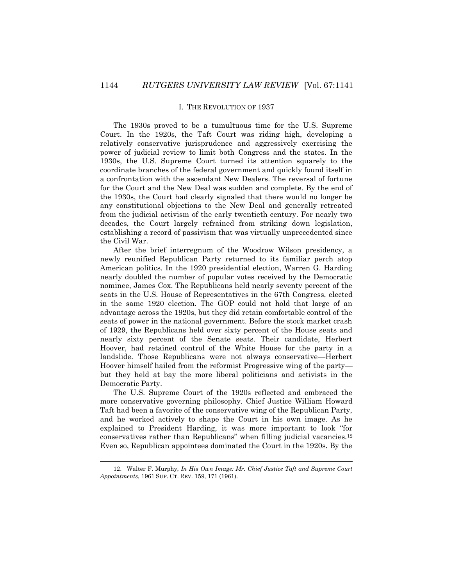#### I. THE REVOLUTION OF 1937

The 1930s proved to be a tumultuous time for the U.S. Supreme Court. In the 1920s, the Taft Court was riding high, developing a relatively conservative jurisprudence and aggressively exercising the power of judicial review to limit both Congress and the states. In the 1930s, the U.S. Supreme Court turned its attention squarely to the coordinate branches of the federal government and quickly found itself in a confrontation with the ascendant New Dealers. The reversal of fortune for the Court and the New Deal was sudden and complete. By the end of the 1930s, the Court had clearly signaled that there would no longer be any constitutional objections to the New Deal and generally retreated from the judicial activism of the early twentieth century. For nearly two decades, the Court largely refrained from striking down legislation, establishing a record of passivism that was virtually unprecedented since the Civil War.

After the brief interregnum of the Woodrow Wilson presidency, a newly reunified Republican Party returned to its familiar perch atop American politics. In the 1920 presidential election, Warren G. Harding nearly doubled the number of popular votes received by the Democratic nominee, James Cox. The Republicans held nearly seventy percent of the seats in the U.S. House of Representatives in the 67th Congress, elected in the same 1920 election. The GOP could not hold that large of an advantage across the 1920s, but they did retain comfortable control of the seats of power in the national government. Before the stock market crash of 1929, the Republicans held over sixty percent of the House seats and nearly sixty percent of the Senate seats. Their candidate, Herbert Hoover, had retained control of the White House for the party in a landslide. Those Republicans were not always conservative—Herbert Hoover himself hailed from the reformist Progressive wing of the party but they held at bay the more liberal politicians and activists in the Democratic Party.

The U.S. Supreme Court of the 1920s reflected and embraced the more conservative governing philosophy. Chief Justice William Howard Taft had been a favorite of the conservative wing of the Republican Party, and he worked actively to shape the Court in his own image. As he explained to President Harding, it was more important to look "for conservatives rather than Republicans" when filling judicial vacancies.<sup>12</sup> Even so, Republican appointees dominated the Court in the 1920s. By the

<sup>12.</sup> Walter F. Murphy, *In His Own Image: Mr. Chief Justice Taft and Supreme Court Appointments*, 1961 SUP. CT. REV. 159, 171 (1961).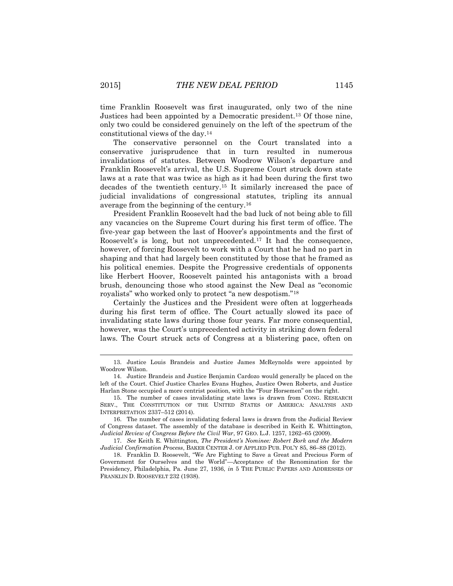time Franklin Roosevelt was first inaugurated, only two of the nine Justices had been appointed by a Democratic president.<sup>13</sup> Of those nine, only two could be considered genuinely on the left of the spectrum of the constitutional views of the day.<sup>14</sup>

The conservative personnel on the Court translated into a conservative jurisprudence that in turn resulted in numerous invalidations of statutes. Between Woodrow Wilson's departure and Franklin Roosevelt's arrival, the U.S. Supreme Court struck down state laws at a rate that was twice as high as it had been during the first two decades of the twentieth century.<sup>15</sup> It similarly increased the pace of judicial invalidations of congressional statutes, tripling its annual average from the beginning of the century.<sup>16</sup>

President Franklin Roosevelt had the bad luck of not being able to fill any vacancies on the Supreme Court during his first term of office. The five-year gap between the last of Hoover's appointments and the first of Roosevelt's is long, but not unprecedented.<sup>17</sup> It had the consequence, however, of forcing Roosevelt to work with a Court that he had no part in shaping and that had largely been constituted by those that he framed as his political enemies. Despite the Progressive credentials of opponents like Herbert Hoover, Roosevelt painted his antagonists with a broad brush, denouncing those who stood against the New Deal as "economic royalists" who worked only to protect "a new despotism."<sup>18</sup>

Certainly the Justices and the President were often at loggerheads during his first term of office. The Court actually slowed its pace of invalidating state laws during those four years. Far more consequential, however, was the Court's unprecedented activity in striking down federal laws. The Court struck acts of Congress at a blistering pace, often on

<sup>13.</sup> Justice Louis Brandeis and Justice James McReynolds were appointed by Woodrow Wilson.

<sup>14.</sup> Justice Brandeis and Justice Benjamin Cardozo would generally be placed on the left of the Court. Chief Justice Charles Evans Hughes, Justice Owen Roberts, and Justice Harlan Stone occupied a more centrist position, with the "Four Horsemen" on the right.

<sup>15.</sup> The number of cases invalidating state laws is drawn from CONG. RESEARCH SERV., THE CONSTITUTION OF THE UNITED STATES OF AMERICA: ANALYSIS AND INTERPRETATION 2337–512 (2014).

<sup>16.</sup> The number of cases invalidating federal laws is drawn from the Judicial Review of Congress dataset. The assembly of the database is described in Keith E. Whittington, *Judicial Review of Congress Before the Civil War*, 97 GEO. L.J. 1257, 1262–65 (2009).

<sup>17.</sup> *See* Keith E. Whittington, *The President's Nominee: Robert Bork and the Modern Judicial Confirmation Process*, BAKER CENTER J. OF APPLIED PUB. POL'Y 85, 86–88 (2012).

<sup>18.</sup> Franklin D. Roosevelt, "We Are Fighting to Save a Great and Precious Form of Government for Ourselves and the World"—Acceptance of the Renomination for the Presidency, Philadelphia, Pa. June 27, 1936, *in* 5 THE PUBLIC PAPERS AND ADDRESSES OF FRANKLIN D. ROOSEVELT 232 (1938).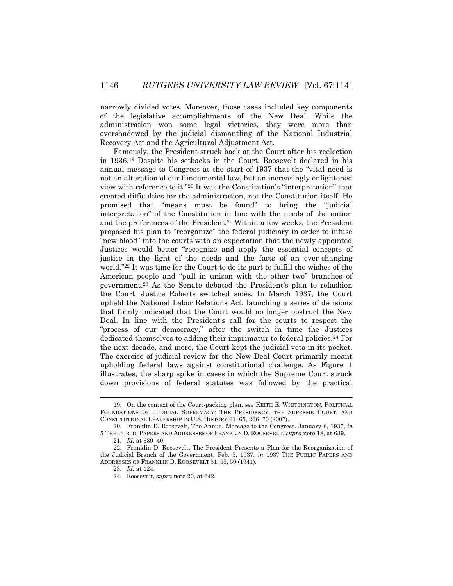narrowly divided votes. Moreover, those cases included key components of the legislative accomplishments of the New Deal. While the administration won some legal victories, they were more than overshadowed by the judicial dismantling of the National Industrial Recovery Act and the Agricultural Adjustment Act.

Famously, the President struck back at the Court after his reelection in 1936.<sup>19</sup> Despite his setbacks in the Court, Roosevelt declared in his annual message to Congress at the start of 1937 that the "vital need is not an alteration of our fundamental law, but an increasingly enlightened view with reference to it."<sup>20</sup> It was the Constitution's "interpretation" that created difficulties for the administration, not the Constitution itself. He promised that "means must be found" to bring the "judicial interpretation" of the Constitution in line with the needs of the nation and the preferences of the President. <sup>21</sup> Within a few weeks, the President proposed his plan to "reorganize" the federal judiciary in order to infuse "new blood" into the courts with an expectation that the newly appointed Justices would better "recognize and apply the essential concepts of justice in the light of the needs and the facts of an ever-changing world."<sup>22</sup> It was time for the Court to do its part to fulfill the wishes of the American people and "pull in unison with the other two" branches of government.<sup>23</sup> As the Senate debated the President's plan to refashion the Court, Justice Roberts switched sides. In March 1937, the Court upheld the National Labor Relations Act, launching a series of decisions that firmly indicated that the Court would no longer obstruct the New Deal. In line with the President's call for the courts to respect the "process of our democracy," after the switch in time the Justices dedicated themselves to adding their imprimatur to federal policies.<sup>24</sup> For the next decade, and more, the Court kept the judicial veto in its pocket. The exercise of judicial review for the New Deal Court primarily meant upholding federal laws against constitutional challenge. As Figure 1 illustrates, the sharp spike in cases in which the Supreme Court struck down provisions of federal statutes was followed by the practical

<sup>19.</sup> On the context of the Court-packing plan, see KEITH E. WHITTINGTON, POLITICAL FOUNDATIONS OF JUDICIAL SUPREMACY: THE PRESIDENCY, THE SUPREME COURT, AND CONSTITUTIONAL LEADERSHIP IN U.S. HISTORY 61–65, 266–70 (2007).

<sup>20.</sup> Franklin D. Roosevelt, The Annual Message to the Congress. January 6, 1937, *in* 5 THE PUBLIC PAPERS AND ADDRESSES OF FRANKLIN D. ROOSEVELT, *supra* note 18, at 639.

<sup>21.</sup> *Id.* at 639–40.

<sup>22.</sup> Franklin D. Roosevelt, The President Presents a Plan for the Reorganization of the Judicial Branch of the Government. Feb. 5, 1937, *in* 1937 THE PUBLIC PAPERS AND ADDRESSES OF FRANKLIN D. ROOSEVELT 51, 55, 59 (1941).

<sup>23.</sup> *Id.* at 124.

<sup>24.</sup> Roosevelt, *supra* note 20, at 642.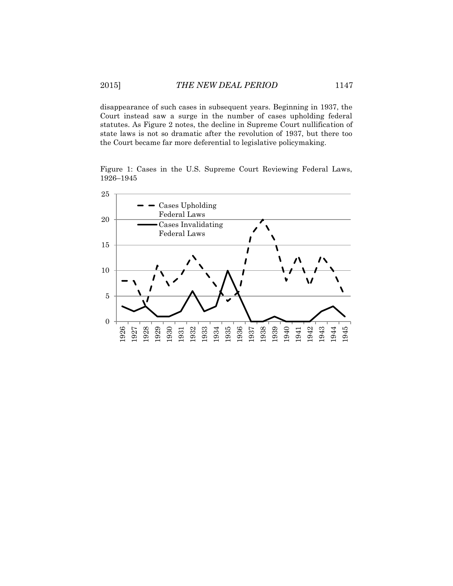disappearance of such cases in subsequent years. Beginning in 1937, the Court instead saw a surge in the number of cases upholding federal statutes. As Figure 2 notes, the decline in Supreme Court nullification of state laws is not so dramatic after the revolution of 1937, but there too the Court became far more deferential to legislative policymaking.

Figure 1: Cases in the U.S. Supreme Court Reviewing Federal Laws, –1945

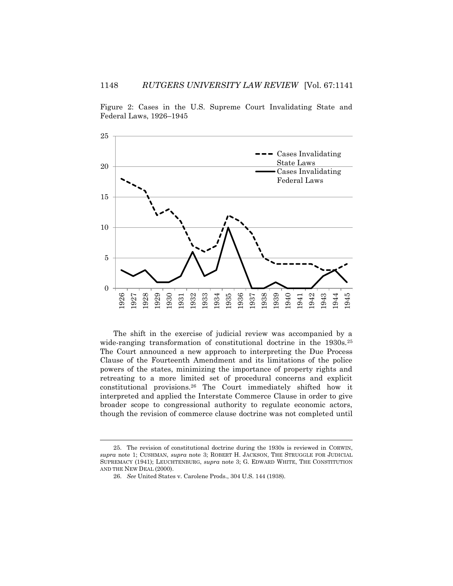Figure 2: Cases in the U.S. Supreme Court Invalidating State and Federal Laws, 1926–1945



The shift in the exercise of judicial review was accompanied by a wide-ranging transformation of constitutional doctrine in the 1930s.<sup>25</sup> The Court announced a new approach to interpreting the Due Process Clause of the Fourteenth Amendment and its limitations of the police powers of the states, minimizing the importance of property rights and retreating to a more limited set of procedural concerns and explicit constitutional provisions.<sup>26</sup> The Court immediately shifted how it interpreted and applied the Interstate Commerce Clause in order to give broader scope to congressional authority to regulate economic actors, though the revision of commerce clause doctrine was not completed until

<sup>25.</sup> The revision of constitutional doctrine during the 1930s is reviewed in CORWIN, *supra* note 1; CUSHMAN, *supra* note 3; ROBERT H. JACKSON, THE STRUGGLE FOR JUDICIAL SUPREMACY (1941); LEUCHTENBURG, *supra* note 3; G. EDWARD WHITE, THE CONSTITUTION AND THE NEW DEAL (2000).

<sup>26.</sup> *See* United States v. Carolene Prods., 304 U.S. 144 (1938).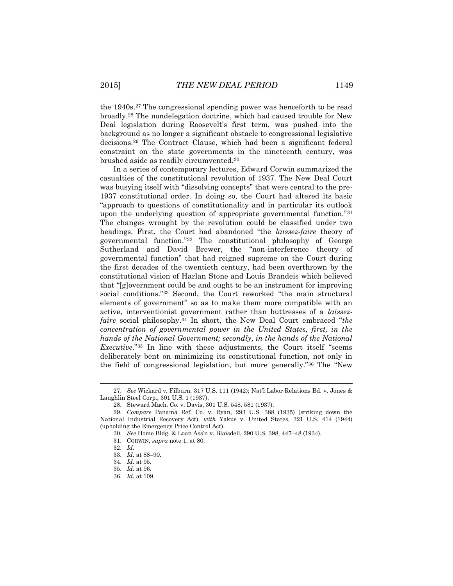the 1940s.<sup>27</sup> The congressional spending power was henceforth to be read broadly.<sup>28</sup> The nondelegation doctrine, which had caused trouble for New Deal legislation during Roosevelt's first term, was pushed into the background as no longer a significant obstacle to congressional legislative decisions.<sup>29</sup> The Contract Clause, which had been a significant federal constraint on the state governments in the nineteenth century, was brushed aside as readily circumvented.<sup>30</sup>

In a series of contemporary lectures, Edward Corwin summarized the casualties of the constitutional revolution of 1937. The New Deal Court was busying itself with "dissolving concepts" that were central to the pre-1937 constitutional order. In doing so, the Court had altered its basic "approach to questions of constitutionality and in particular its outlook upon the underlying question of appropriate governmental function."<sup>31</sup> The changes wrought by the revolution could be classified under two headings. First, the Court had abandoned "the *laissez-faire* theory of governmental function."<sup>32</sup> The constitutional philosophy of George Sutherland and David Brewer, the "non-interference theory of governmental function" that had reigned supreme on the Court during the first decades of the twentieth century, had been overthrown by the constitutional vision of Harlan Stone and Louis Brandeis which believed that "[g]overnment could be and ought to be an instrument for improving social conditions."<sup>33</sup> Second, the Court reworked "the main structural elements of government" so as to make them more compatible with an active, interventionist government rather than buttresses of a *laissezfaire* social philosophy.<sup>34</sup> In short, the New Deal Court embraced "*the concentration of governmental power in the United States, first, in the hands of the National Government; secondly, in the hands of the National Executive*."<sup>35</sup> In line with these adjustments, the Court itself "seems deliberately bent on minimizing its constitutional function, not only in the field of congressional legislation, but more generally."<sup>36</sup> The "New

l

<sup>27.</sup> *See* Wickard v. Filburn, 317 U.S. 111 (1942); Nat'l Labor Relations Bd. v. Jones & Laughlin Steel Corp., 301 U.S. 1 (1937).

<sup>28.</sup> Steward Mach. Co. v. Davis, 301 U.S. 548, 581 (1937).

<sup>29.</sup> *Compare* Panama Ref. Co. v. Ryan, 293 U.S. 388 (1935) (striking down the National Industrial Recovery Act), *with* Yakus v. United States, 321 U.S. 414 (1944) (upholding the Emergency Price Control Act).

<sup>30.</sup> *See* Home Bldg. & Loan Ass'n v. Blaisdell, 290 U.S. 398, 447–48 (1934).

<sup>31.</sup> CORWIN, *supra* note 1, at 80.

<sup>32.</sup> *Id.*

<sup>33.</sup> *Id.* at 88–90.

<sup>34.</sup> *Id.* at 95.

<sup>35.</sup> *Id.* at 96.

<sup>36.</sup> *Id.* at 109.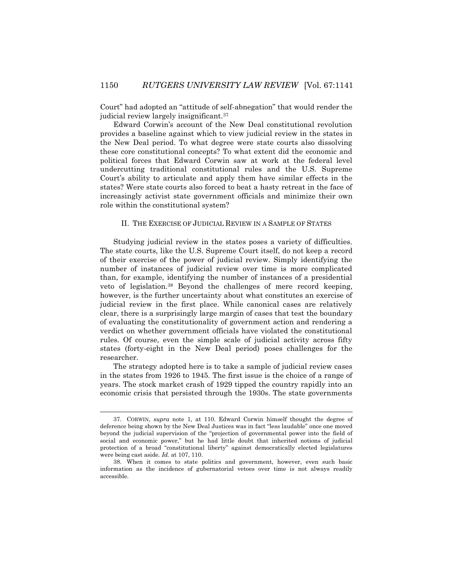Court" had adopted an "attitude of self-abnegation" that would render the judicial review largely insignificant.<sup>37</sup>

Edward Corwin's account of the New Deal constitutional revolution provides a baseline against which to view judicial review in the states in the New Deal period. To what degree were state courts also dissolving these core constitutional concepts? To what extent did the economic and political forces that Edward Corwin saw at work at the federal level undercutting traditional constitutional rules and the U.S. Supreme Court's ability to articulate and apply them have similar effects in the states? Were state courts also forced to beat a hasty retreat in the face of increasingly activist state government officials and minimize their own role within the constitutional system?

### II. THE EXERCISE OF JUDICIAL REVIEW IN A SAMPLE OF STATES

Studying judicial review in the states poses a variety of difficulties. The state courts, like the U.S. Supreme Court itself, do not keep a record of their exercise of the power of judicial review. Simply identifying the number of instances of judicial review over time is more complicated than, for example, identifying the number of instances of a presidential veto of legislation.<sup>38</sup> Beyond the challenges of mere record keeping, however, is the further uncertainty about what constitutes an exercise of judicial review in the first place. While canonical cases are relatively clear, there is a surprisingly large margin of cases that test the boundary of evaluating the constitutionality of government action and rendering a verdict on whether government officials have violated the constitutional rules. Of course, even the simple scale of judicial activity across fifty states (forty-eight in the New Deal period) poses challenges for the researcher.

The strategy adopted here is to take a sample of judicial review cases in the states from 1926 to 1945. The first issue is the choice of a range of years. The stock market crash of 1929 tipped the country rapidly into an economic crisis that persisted through the 1930s. The state governments

<sup>37.</sup> CORWIN, *supra* note 1, at 110. Edward Corwin himself thought the degree of deference being shown by the New Deal Justices was in fact "less laudable" once one moved beyond the judicial supervision of the "projection of governmental power into the field of social and economic power," but he had little doubt that inherited notions of judicial protection of a broad "constitutional liberty" against democratically elected legislatures were being cast aside. *Id.* at 107, 110.

<sup>38.</sup> When it comes to state politics and government, however, even such basic information as the incidence of gubernatorial vetoes over time is not always readily accessible.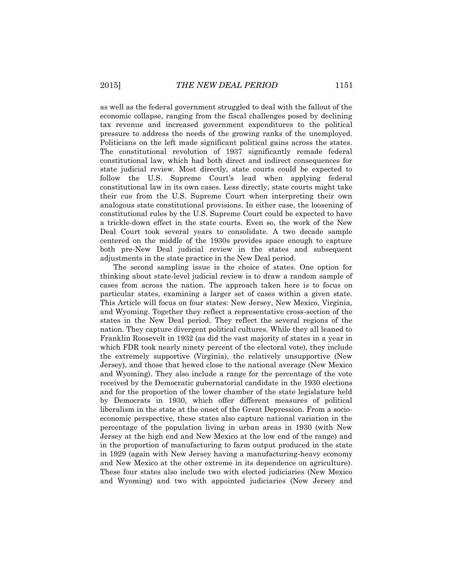as well as the federal government struggled to deal with the fallout of the economic collapse, ranging from the fiscal challenges posed by declining tax revenue and increased government expenditures to the political pressure to address the needs of the growing ranks of the unemployed. Politicians on the left made significant political gains across the states. The constitutional revolution of 1937 significantly remade federal constitutional law, which had both direct and indirect consequences for state judicial review. Most directly, state courts could be expected to follow the U.S. Supreme Court's lead when applying federal constitutional law in its own cases. Less directly, state courts might take their cue from the U.S. Supreme Court when interpreting their own analogous state constitutional provisions. In either case, the loosening of constitutional rules by the U.S. Supreme Court could be expected to have a trickle-down effect in the state courts. Even so, the work of the New Deal Court took several years to consolidate. A two decade sample centered on the middle of the 1930s provides space enough to capture both pre-New Deal judicial review in the states and subsequent adjustments in the state practice in the New Deal period.

The second sampling issue is the choice of states. One option for thinking about state-level judicial review is to draw a random sample of cases from across the nation. The approach taken here is to focus on particular states, examining a larger set of cases within a given state. This Article will focus on four states: New Jersey, New Mexico, Virginia, and Wyoming. Together they reflect a representative cross-section of the states in the New Deal period. They reflect the several regions of the nation. They capture divergent political cultures. While they all leaned to Franklin Roosevelt in 1932 (as did the vast majority of states in a year in which FDR took nearly ninety percent of the electoral vote), they include the extremely supportive (Virginia), the relatively unsupportive (New Jersey), and those that hewed close to the national average (New Mexico and Wyoming). They also include a range for the percentage of the vote received by the Democratic gubernatorial candidate in the 1930 elections and for the proportion of the lower chamber of the state legislature held by Democrats in 1930, which offer different measures of political liberalism in the state at the onset of the Great Depression. From a socioeconomic perspective, these states also capture national variation in the percentage of the population living in urban areas in 1930 (with New Jersey at the high end and New Mexico at the low end of the range) and in the proportion of manufacturing to farm output produced in the state in 1929 (again with New Jersey having a manufacturing-heavy economy and New Mexico at the other extreme in its dependence on agriculture). These four states also include two with elected judiciaries (New Mexico and Wyoming) and two with appointed judiciaries (New Jersey and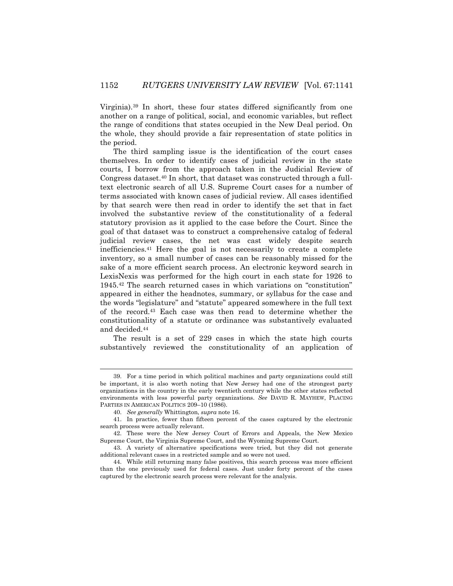Virginia).<sup>39</sup> In short, these four states differed significantly from one another on a range of political, social, and economic variables, but reflect the range of conditions that states occupied in the New Deal period. On the whole, they should provide a fair representation of state politics in the period.

The third sampling issue is the identification of the court cases themselves. In order to identify cases of judicial review in the state courts, I borrow from the approach taken in the Judicial Review of Congress dataset.<sup>40</sup> In short, that dataset was constructed through a fulltext electronic search of all U.S. Supreme Court cases for a number of terms associated with known cases of judicial review. All cases identified by that search were then read in order to identify the set that in fact involved the substantive review of the constitutionality of a federal statutory provision as it applied to the case before the Court. Since the goal of that dataset was to construct a comprehensive catalog of federal judicial review cases, the net was cast widely despite search inefficiencies.<sup>41</sup> Here the goal is not necessarily to create a complete inventory, so a small number of cases can be reasonably missed for the sake of a more efficient search process. An electronic keyword search in LexisNexis was performed for the high court in each state for 1926 to 1945.<sup>42</sup> The search returned cases in which variations on "constitution" appeared in either the headnotes, summary, or syllabus for the case and the words "legislature" and "statute" appeared somewhere in the full text of the record.<sup>43</sup> Each case was then read to determine whether the constitutionality of a statute or ordinance was substantively evaluated and decided.<sup>44</sup>

The result is a set of 229 cases in which the state high courts substantively reviewed the constitutionality of an application of

<sup>39.</sup> For a time period in which political machines and party organizations could still be important, it is also worth noting that New Jersey had one of the strongest party organizations in the country in the early twentieth century while the other states reflected environments with less powerful party organizations. *See* DAVID R. MAYHEW, PLACING PARTIES IN AMERICAN POLITICS 209–10 (1986).

<sup>40.</sup> *See generally* Whittington, *supra* note 16.

<sup>41.</sup> In practice, fewer than fifteen percent of the cases captured by the electronic search process were actually relevant.

<sup>42.</sup> These were the New Jersey Court of Errors and Appeals, the New Mexico Supreme Court, the Virginia Supreme Court, and the Wyoming Supreme Court.

<sup>43.</sup> A variety of alternative specifications were tried, but they did not generate additional relevant cases in a restricted sample and so were not used.

<sup>44.</sup> While still returning many false positives, this search process was more efficient than the one previously used for federal cases. Just under forty percent of the cases captured by the electronic search process were relevant for the analysis.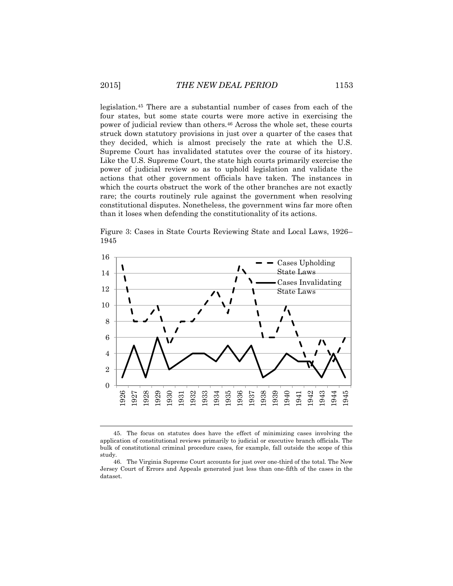legislation.<sup>45</sup> There are a substantial number of cases from each of the four states, but some state courts were more active in exercising the power of judicial review than others.<sup>46</sup> Across the whole set, these courts struck down statutory provisions in just over a quarter of the cases that they decided, which is almost precisely the rate at which the U.S. Supreme Court has invalidated statutes over the course of its history. Like the U.S. Supreme Court, the state high courts primarily exercise the power of judicial review so as to uphold legislation and validate the actions that other government officials have taken. The instances in which the courts obstruct the work of the other branches are not exactly rare; the courts routinely rule against the government when resolving constitutional disputes. Nonetheless, the government wins far more often than it loses when defending the constitutionality of its actions.

Figure 3: Cases in State Courts Reviewing State and Local Laws, 1926– 1945



45. The focus on statutes does have the effect of minimizing cases involving the application of constitutional reviews primarily to judicial or executive branch officials. The bulk of constitutional criminal procedure cases, for example, fall outside the scope of this study.

l

<sup>46.</sup> The Virginia Supreme Court accounts for just over one-third of the total. The New Jersey Court of Errors and Appeals generated just less than one-fifth of the cases in the dataset.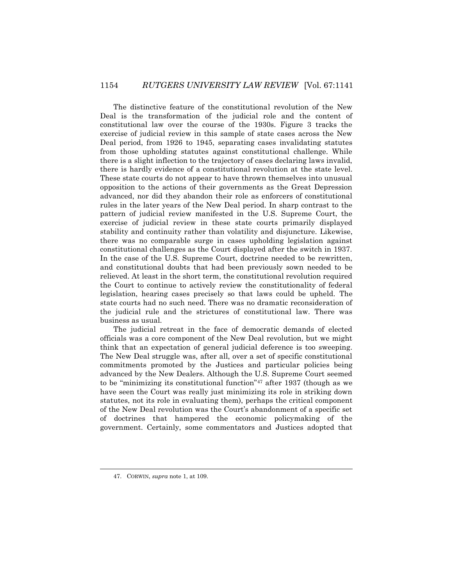The distinctive feature of the constitutional revolution of the New Deal is the transformation of the judicial role and the content of constitutional law over the course of the 1930s. Figure 3 tracks the exercise of judicial review in this sample of state cases across the New Deal period, from 1926 to 1945, separating cases invalidating statutes from those upholding statutes against constitutional challenge. While there is a slight inflection to the trajectory of cases declaring laws invalid, there is hardly evidence of a constitutional revolution at the state level. These state courts do not appear to have thrown themselves into unusual opposition to the actions of their governments as the Great Depression advanced, nor did they abandon their role as enforcers of constitutional rules in the later years of the New Deal period. In sharp contrast to the pattern of judicial review manifested in the U.S. Supreme Court, the exercise of judicial review in these state courts primarily displayed stability and continuity rather than volatility and disjuncture. Likewise, there was no comparable surge in cases upholding legislation against constitutional challenges as the Court displayed after the switch in 1937. In the case of the U.S. Supreme Court, doctrine needed to be rewritten, and constitutional doubts that had been previously sown needed to be relieved. At least in the short term, the constitutional revolution required the Court to continue to actively review the constitutionality of federal legislation, hearing cases precisely so that laws could be upheld. The state courts had no such need. There was no dramatic reconsideration of the judicial rule and the strictures of constitutional law. There was business as usual.

The judicial retreat in the face of democratic demands of elected officials was a core component of the New Deal revolution, but we might think that an expectation of general judicial deference is too sweeping. The New Deal struggle was, after all, over a set of specific constitutional commitments promoted by the Justices and particular policies being advanced by the New Dealers. Although the U.S. Supreme Court seemed to be "minimizing its constitutional function"<sup>47</sup> after 1937 (though as we have seen the Court was really just minimizing its role in striking down statutes, not its role in evaluating them), perhaps the critical component of the New Deal revolution was the Court's abandonment of a specific set of doctrines that hampered the economic policymaking of the government. Certainly, some commentators and Justices adopted that

l

<sup>47.</sup> CORWIN, *supra* note 1, at 109.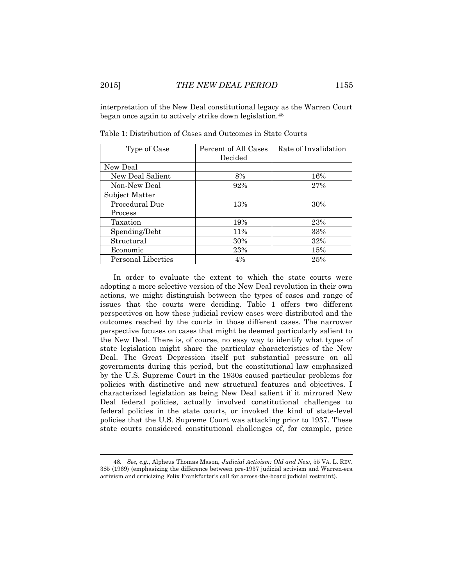interpretation of the New Deal constitutional legacy as the Warren Court began once again to actively strike down legislation.<sup>48</sup>

| Type of Case       | Percent of All Cases | Rate of Invalidation |
|--------------------|----------------------|----------------------|
|                    | Decided              |                      |
| New Deal           |                      |                      |
| New Deal Salient   | 8%                   | 16%                  |
| Non-New Deal       | 92%                  | 27%                  |
| Subject Matter     |                      |                      |
| Procedural Due     | 13%                  | 30%                  |
| Process            |                      |                      |
| Taxation           | 19%                  | 23%                  |
| Spending/Debt      | 11%                  | 33%                  |
| Structural         | 30%                  | 32%                  |
| Economic           | 23%                  | 15%                  |
| Personal Liberties | 4%                   | 25%                  |

Table 1: Distribution of Cases and Outcomes in State Courts

In order to evaluate the extent to which the state courts were adopting a more selective version of the New Deal revolution in their own actions, we might distinguish between the types of cases and range of issues that the courts were deciding. Table 1 offers two different perspectives on how these judicial review cases were distributed and the outcomes reached by the courts in those different cases. The narrower perspective focuses on cases that might be deemed particularly salient to the New Deal. There is, of course, no easy way to identify what types of state legislation might share the particular characteristics of the New Deal. The Great Depression itself put substantial pressure on all governments during this period, but the constitutional law emphasized by the U.S. Supreme Court in the 1930s caused particular problems for policies with distinctive and new structural features and objectives. I characterized legislation as being New Deal salient if it mirrored New Deal federal policies, actually involved constitutional challenges to federal policies in the state courts, or invoked the kind of state-level policies that the U.S. Supreme Court was attacking prior to 1937. These state courts considered constitutional challenges of, for example, price

<sup>48</sup>*. See, e.g.*, Alpheus Thomas Mason, *Judicial Activism: Old and New*, 55 VA. L. REV. 385 (1969) (emphasizing the difference between pre-1937 judicial activism and Warren-era activism and criticizing Felix Frankfurter's call for across-the-board judicial restraint).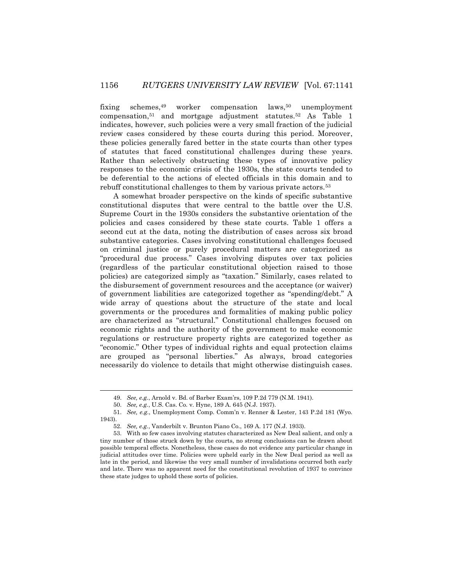fixing schemes,<sup>49</sup> worker compensation laws,<sup>50</sup> unemployment compensation,<sup>51</sup> and mortgage adjustment statutes.<sup>52</sup> As Table 1 indicates, however, such policies were a very small fraction of the judicial review cases considered by these courts during this period. Moreover, these policies generally fared better in the state courts than other types of statutes that faced constitutional challenges during these years. Rather than selectively obstructing these types of innovative policy responses to the economic crisis of the 1930s, the state courts tended to be deferential to the actions of elected officials in this domain and to rebuff constitutional challenges to them by various private actors.<sup>53</sup>

A somewhat broader perspective on the kinds of specific substantive constitutional disputes that were central to the battle over the U.S. Supreme Court in the 1930s considers the substantive orientation of the policies and cases considered by these state courts. Table 1 offers a second cut at the data, noting the distribution of cases across six broad substantive categories. Cases involving constitutional challenges focused on criminal justice or purely procedural matters are categorized as "procedural due process." Cases involving disputes over tax policies (regardless of the particular constitutional objection raised to those policies) are categorized simply as "taxation." Similarly, cases related to the disbursement of government resources and the acceptance (or waiver) of government liabilities are categorized together as "spending/debt." A wide array of questions about the structure of the state and local governments or the procedures and formalities of making public policy are characterized as "structural." Constitutional challenges focused on economic rights and the authority of the government to make economic regulations or restructure property rights are categorized together as "economic." Other types of individual rights and equal protection claims are grouped as "personal liberties." As always, broad categories necessarily do violence to details that might otherwise distinguish cases.

<sup>49.</sup> *See, e.g.*, Arnold v. Bd. of Barber Exam'rs, 109 P.2d 779 (N.M. 1941).

<sup>50.</sup> *See, e.g.*, U.S. Cas. Co. v. Hyne, 189 A. 645 (N.J. 1937).

<sup>51.</sup> *See, e.g.*, Unemployment Comp. Comm'n v. Renner & Lester, 143 P.2d 181 (Wyo. 1943).

<sup>52.</sup> *See, e.g.*, Vanderbilt v. Brunton Piano Co., 169 A. 177 (N.J. 1933).

<sup>53.</sup> With so few cases involving statutes characterized as New Deal salient, and only a tiny number of those struck down by the courts, no strong conclusions can be drawn about possible temporal effects. Nonetheless, these cases do not evidence any particular change in judicial attitudes over time. Policies were upheld early in the New Deal period as well as late in the period, and likewise the very small number of invalidations occurred both early and late. There was no apparent need for the constitutional revolution of 1937 to convince these state judges to uphold these sorts of policies.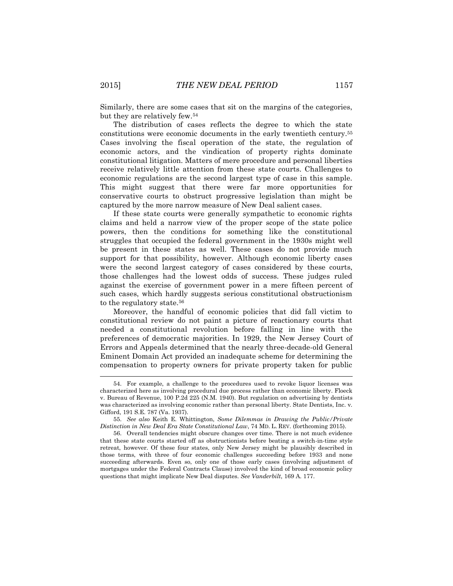Similarly, there are some cases that sit on the margins of the categories, but they are relatively few.<sup>54</sup>

The distribution of cases reflects the degree to which the state constitutions were economic documents in the early twentieth century.<sup>55</sup> Cases involving the fiscal operation of the state, the regulation of economic actors, and the vindication of property rights dominate constitutional litigation. Matters of mere procedure and personal liberties receive relatively little attention from these state courts. Challenges to economic regulations are the second largest type of case in this sample. This might suggest that there were far more opportunities for conservative courts to obstruct progressive legislation than might be captured by the more narrow measure of New Deal salient cases.

If these state courts were generally sympathetic to economic rights claims and held a narrow view of the proper scope of the state police powers, then the conditions for something like the constitutional struggles that occupied the federal government in the 1930s might well be present in these states as well. These cases do not provide much support for that possibility, however. Although economic liberty cases were the second largest category of cases considered by these courts, those challenges had the lowest odds of success. These judges ruled against the exercise of government power in a mere fifteen percent of such cases, which hardly suggests serious constitutional obstructionism to the regulatory state.<sup>56</sup>

Moreover, the handful of economic policies that did fall victim to constitutional review do not paint a picture of reactionary courts that needed a constitutional revolution before falling in line with the preferences of democratic majorities. In 1929, the New Jersey Court of Errors and Appeals determined that the nearly three-decade-old General Eminent Domain Act provided an inadequate scheme for determining the compensation to property owners for private property taken for public

<sup>54.</sup> For example, a challenge to the procedures used to revoke liquor licenses was characterized here as involving procedural due process rather than economic liberty. Floeck v. Bureau of Revenue, 100 P.2d 225 (N.M. 1940). But regulation on advertising by dentists was characterized as involving economic rather than personal liberty. State Dentists, Inc. v. Gifford, 191 S.E. 787 (Va. 1937).

<sup>55.</sup> *See also* Keith E. Whittington, *Some Dilemmas in Drawing the Public/Private Distinction in New Deal Era State Constitutional Law*, 74 MD. L. REV. (forthcoming 2015).

<sup>56.</sup> Overall tendencies might obscure changes over time. There is not much evidence that these state courts started off as obstructionists before beating a switch-in-time style retreat, however. Of these four states, only New Jersey might be plausibly described in those terms, with three of four economic challenges succeeding before 1933 and none succeeding afterwards. Even so, only one of those early cases (involving adjustment of mortgages under the Federal Contracts Clause) involved the kind of broad economic policy questions that might implicate New Deal disputes. *See Vanderbilt*, 169 A. 177.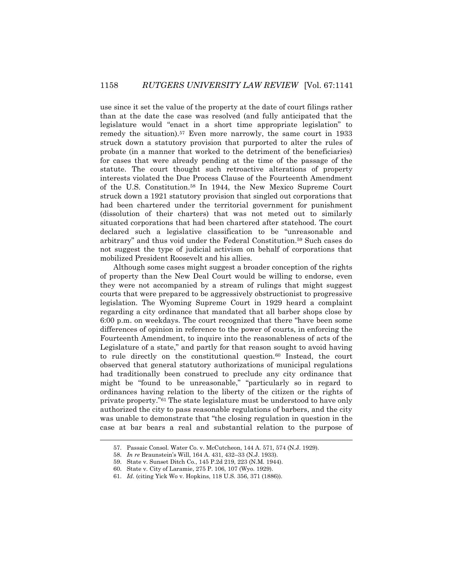use since it set the value of the property at the date of court filings rather than at the date the case was resolved (and fully anticipated that the legislature would "enact in a short time appropriate legislation" to remedy the situation).<sup>57</sup> Even more narrowly, the same court in 1933 struck down a statutory provision that purported to alter the rules of probate (in a manner that worked to the detriment of the beneficiaries) for cases that were already pending at the time of the passage of the statute. The court thought such retroactive alterations of property interests violated the Due Process Clause of the Fourteenth Amendment of the U.S. Constitution.<sup>58</sup> In 1944, the New Mexico Supreme Court struck down a 1921 statutory provision that singled out corporations that had been chartered under the territorial government for punishment (dissolution of their charters) that was not meted out to similarly situated corporations that had been chartered after statehood. The court declared such a legislative classification to be "unreasonable and arbitrary" and thus void under the Federal Constitution.<sup>59</sup> Such cases do not suggest the type of judicial activism on behalf of corporations that mobilized President Roosevelt and his allies.

Although some cases might suggest a broader conception of the rights of property than the New Deal Court would be willing to endorse, even they were not accompanied by a stream of rulings that might suggest courts that were prepared to be aggressively obstructionist to progressive legislation. The Wyoming Supreme Court in 1929 heard a complaint regarding a city ordinance that mandated that all barber shops close by 6:00 p.m. on weekdays. The court recognized that there "have been some differences of opinion in reference to the power of courts, in enforcing the Fourteenth Amendment, to inquire into the reasonableness of acts of the Legislature of a state," and partly for that reason sought to avoid having to rule directly on the constitutional question.<sup>60</sup> Instead, the court observed that general statutory authorizations of municipal regulations had traditionally been construed to preclude any city ordinance that might be "found to be unreasonable," "particularly so in regard to ordinances having relation to the liberty of the citizen or the rights of private property."<sup>61</sup> The state legislature must be understood to have only authorized the city to pass reasonable regulations of barbers, and the city was unable to demonstrate that "the closing regulation in question in the case at bar bears a real and substantial relation to the purpose of

<sup>57.</sup> Passaic Consol. Water Co. v. McCutcheon, 144 A. 571, 574 (N.J. 1929).

<sup>58.</sup> *In re* Braunstein's Will, 164 A. 431, 432–33 (N.J. 1933).

<sup>59.</sup> State v. Sunset Ditch Co., 145 P.2d 219, 223 (N.M. 1944).

<sup>60.</sup> State v. City of Laramie, 275 P. 106, 107 (Wyo. 1929).

<sup>61.</sup> *Id.* (citing Yick Wo v. Hopkins, 118 U.S. 356, 371 (1886)).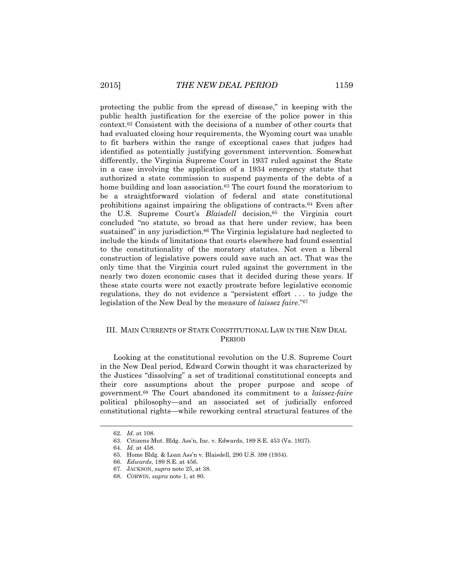protecting the public from the spread of disease," in keeping with the public health justification for the exercise of the police power in this context.<sup>62</sup> Consistent with the decisions of a number of other courts that had evaluated closing hour requirements, the Wyoming court was unable to fit barbers within the range of exceptional cases that judges had identified as potentially justifying government intervention. Somewhat differently, the Virginia Supreme Court in 1937 ruled against the State in a case involving the application of a 1934 emergency statute that authorized a state commission to suspend payments of the debts of a home building and loan association.<sup>63</sup> The court found the moratorium to be a straightforward violation of federal and state constitutional prohibitions against impairing the obligations of contracts.<sup>64</sup> Even after the U.S. Supreme Court's *Blaisdell* decision,<sup>65</sup> the Virginia court concluded "no statute, so broad as that here under review, has been sustained" in any jurisdiction.<sup>66</sup> The Virginia legislature had neglected to include the kinds of limitations that courts elsewhere had found essential to the constitutionality of the moratory statutes. Not even a liberal construction of legislative powers could save such an act. That was the only time that the Virginia court ruled against the government in the nearly two dozen economic cases that it decided during these years. If these state courts were not exactly prostrate before legislative economic regulations, they do not evidence a "persistent effort . . . to judge the legislation of the New Deal by the measure of *laissez faire*."<sup>67</sup>

## III. MAIN CURRENTS OF STATE CONSTITUTIONAL LAW IN THE NEW DEAL PERIOD

Looking at the constitutional revolution on the U.S. Supreme Court in the New Deal period, Edward Corwin thought it was characterized by the Justices "dissolving" a set of traditional constitutional concepts and their core assumptions about the proper purpose and scope of government.<sup>68</sup> The Court abandoned its commitment to a *laissez-faire* political philosophy—and an associated set of judicially enforced constitutional rights—while reworking central structural features of the

l

<sup>62.</sup> *Id.* at 108.

<sup>63.</sup> Citizens Mut. Bldg. Ass'n, Inc. v. Edwards, 189 S.E. 453 (Va. 1937).

<sup>64.</sup> *Id.* at 458.

<sup>65.</sup> Home Bldg. & Loan Ass'n v. Blaisdell, 290 U.S. 398 (1934).

<sup>66.</sup> *Edwards*, 189 S.E. at 456.

<sup>67.</sup> JACKSON, *supra* note 25, at 38.

<sup>68.</sup> CORWIN, *supra* note 1, at 80.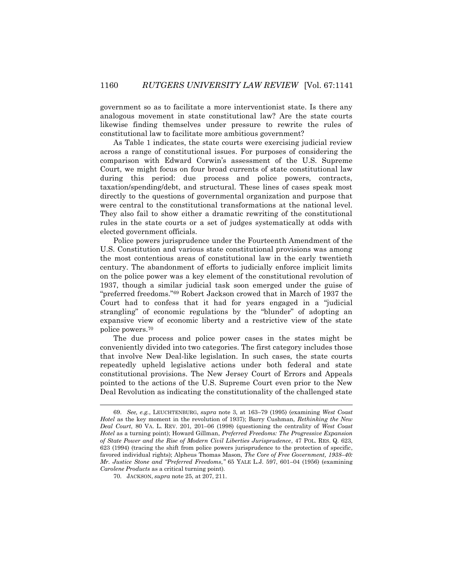government so as to facilitate a more interventionist state. Is there any analogous movement in state constitutional law? Are the state courts likewise finding themselves under pressure to rewrite the rules of constitutional law to facilitate more ambitious government?

As Table 1 indicates, the state courts were exercising judicial review across a range of constitutional issues. For purposes of considering the comparison with Edward Corwin's assessment of the U.S. Supreme Court, we might focus on four broad currents of state constitutional law during this period: due process and police powers, contracts, taxation/spending/debt, and structural. These lines of cases speak most directly to the questions of governmental organization and purpose that were central to the constitutional transformations at the national level. They also fail to show either a dramatic rewriting of the constitutional rules in the state courts or a set of judges systematically at odds with elected government officials.

Police powers jurisprudence under the Fourteenth Amendment of the U.S. Constitution and various state constitutional provisions was among the most contentious areas of constitutional law in the early twentieth century. The abandonment of efforts to judicially enforce implicit limits on the police power was a key element of the constitutional revolution of 1937, though a similar judicial task soon emerged under the guise of "preferred freedoms."<sup>69</sup> Robert Jackson crowed that in March of 1937 the Court had to confess that it had for years engaged in a "judicial strangling" of economic regulations by the "blunder" of adopting an expansive view of economic liberty and a restrictive view of the state police powers.<sup>70</sup>

The due process and police power cases in the states might be conveniently divided into two categories. The first category includes those that involve New Deal-like legislation. In such cases, the state courts repeatedly upheld legislative actions under both federal and state constitutional provisions. The New Jersey Court of Errors and Appeals pointed to the actions of the U.S. Supreme Court even prior to the New Deal Revolution as indicating the constitutionality of the challenged state

<sup>69.</sup> *See, e.g.*, LEUCHTENBURG, *supra* note 3, at 163–79 (1995) (examining *West Coast Hotel* as the key moment in the revolution of 1937); Barry Cushman, *Rethinking the New Deal Court*, 80 VA. L. REV. 201, 201–06 (1998) (questioning the centrality of *West Coast Hotel* as a turning point); Howard Gillman, *Preferred Freedoms: The Progressive Expansion of State Power and the Rise of Modern Civil Liberties Jurisprudence*, 47 POL. RES. Q. 623, 623 (1994) (tracing the shift from police powers jurisprudence to the protection of specific, favored individual rights); Alpheus Thomas Mason, *The Core of Free Government, 1938–40: Mr. Justice Stone and "Preferred Freedoms*,*"* 65 YALE L.J. 597, 601–04 (1956) (examining *Carolene Products* as a critical turning point).

<sup>70.</sup> JACKSON, *supra* note 25, at 207, 211.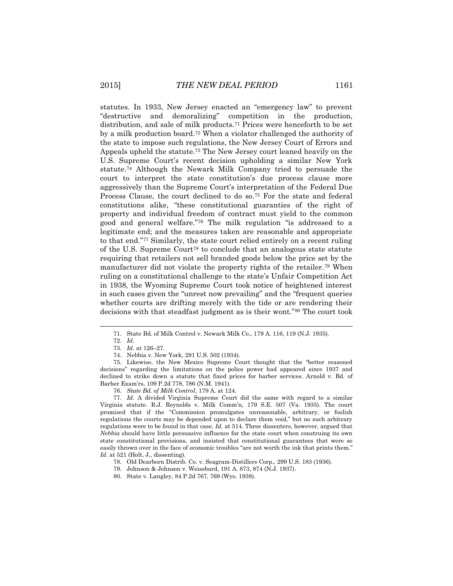statutes. In 1933, New Jersey enacted an "emergency law" to prevent "destructive and demoralizing" competition in the production, distribution, and sale of milk products.<sup>71</sup> Prices were henceforth to be set by a milk production board.<sup>72</sup> When a violator challenged the authority of the state to impose such regulations, the New Jersey Court of Errors and Appeals upheld the statute.<sup>73</sup> The New Jersey court leaned heavily on the U.S. Supreme Court's recent decision upholding a similar New York statute.<sup>74</sup> Although the Newark Milk Company tried to persuade the court to interpret the state constitution's due process clause more aggressively than the Supreme Court's interpretation of the Federal Due Process Clause, the court declined to do so.<sup>75</sup> For the state and federal constitutions alike, "these constitutional guaranties of the right of property and individual freedom of contract must yield to the common good and general welfare."<sup>76</sup> The milk regulation "is addressed to a legitimate end; and the measures taken are reasonable and appropriate to that end."<sup>77</sup> Similarly, the state court relied entirely on a recent ruling of the U.S. Supreme Court<sup>78</sup> to conclude that an analogous state statute requiring that retailers not sell branded goods below the price set by the manufacturer did not violate the property rights of the retailer.<sup>79</sup> When ruling on a constitutional challenge to the state's Unfair Competition Act in 1938, the Wyoming Supreme Court took notice of heightened interest in such cases given the "unrest now prevailing" and the "frequent queries whether courts are drifting merely with the tide or are rendering their decisions with that steadfast judgment as is their wont."<sup>80</sup> The court took

l

77. *Id.* A divided Virginia Supreme Court did the same with regard to a similar Virginia statute. R.J. Reynolds v. Milk Comm'n, 179 S.E. 507 (Va. 1935). The court promised that if the "Commission promulgates unreasonable, arbitrary, or foolish regulations the courts may be depended upon to declare them void," but no such arbitrary regulations were to be found in that case. *Id.* at 514. Three dissenters, however, argued that *Nebbia* should have little persuasive influence for the state court when construing its own state constitutional provisions, and insisted that constitutional guarantees that were so easily thrown over in the face of economic troubles "are not worth the ink that prints them." *Id.* at 521 (Holt, J., dissenting).

79. Johnson & Johnson v. Weissbard, 191 A. 873, 874 (N.J. 1937).

<sup>71.</sup> State Bd. of Milk Control v. Newark Milk Co., 179 A. 116, 119 (N.J. 1935).

<sup>72.</sup> *Id.*

<sup>73.</sup> *Id.* at 126–27.

<sup>74.</sup> Nebbia v. New York, 291 U.S. 502 (1934).

<sup>75.</sup> Likewise, the New Mexico Supreme Court thought that the "better reasoned decisions" regarding the limitations on the police power had appeared since 1937 and declined to strike down a statute that fixed prices for barber services. Arnold v. Bd. of Barber Exam'rs, 109 P.2d 778, 786 (N.M. 1941).

<sup>76.</sup> *State Bd. of Milk Control*, 179 A. at 124.

<sup>78.</sup> Old Dearborn Distrib. Co. v. Seagram-Distillers Corp., 299 U.S. 183 (1936).

<sup>80.</sup> State v. Langley, 84 P.2d 767, 769 (Wyo. 1938).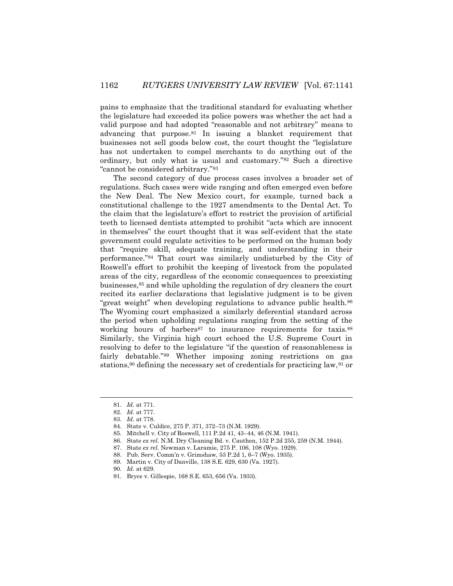pains to emphasize that the traditional standard for evaluating whether the legislature had exceeded its police powers was whether the act had a valid purpose and had adopted "reasonable and not arbitrary" means to advancing that purpose.<sup>81</sup> In issuing a blanket requirement that businesses not sell goods below cost, the court thought the "legislature has not undertaken to compel merchants to do anything out of the ordinary, but only what is usual and customary."<sup>82</sup> Such a directive "cannot be considered arbitrary."<sup>83</sup>

The second category of due process cases involves a broader set of regulations. Such cases were wide ranging and often emerged even before the New Deal. The New Mexico court, for example, turned back a constitutional challenge to the 1927 amendments to the Dental Act. To the claim that the legislature's effort to restrict the provision of artificial teeth to licensed dentists attempted to prohibit "acts which are innocent in themselves" the court thought that it was self-evident that the state government could regulate activities to be performed on the human body that "require skill, adequate training, and understanding in their performance."<sup>84</sup> That court was similarly undisturbed by the City of Roswell's effort to prohibit the keeping of livestock from the populated areas of the city, regardless of the economic consequences to preexisting businesses,<sup>85</sup> and while upholding the regulation of dry cleaners the court recited its earlier declarations that legislative judgment is to be given "great weight" when developing regulations to advance public health.<sup>86</sup> The Wyoming court emphasized a similarly deferential standard across the period when upholding regulations ranging from the setting of the working hours of barbers<sup>87</sup> to insurance requirements for taxis.<sup>88</sup> Similarly, the Virginia high court echoed the U.S. Supreme Court in resolving to defer to the legislature "if the question of reasonableness is fairly debatable."<sup>89</sup> Whether imposing zoning restrictions on gas stations,<sup>90</sup> defining the necessary set of credentials for practicing law,<sup>91</sup> or

- 83. *Id.* at 778.
- 84. State v. Culdice, 275 P. 371, 372–73 (N.M. 1929).
- 85. Mitchell v. City of Roswell, 111 P.2d 41, 43–44, 46 (N.M. 1941).
- 86. State *ex rel.* N.M. Dry Cleaning Bd. v. Cauthen, 152 P.2d 255, 259 (N.M. 1944).
- 87. State *ex rel.* Newman v. Laramie, 275 P. 106, 108 (Wyo. 1929).
- 88. Pub. Serv. Comm'n v. Grimshaw, 53 P.2d 1, 6–7 (Wyo. 1935).
- 89. Martin v. City of Danville, 138 S.E. 629, 630 (Va. 1927).
- 90. *Id.* at 629.
- 91. Bryce v. Gillespie, 168 S.E. 653, 656 (Va. 1933).

<sup>81.</sup> *Id.* at 771.

<sup>82.</sup> *Id.* at 777.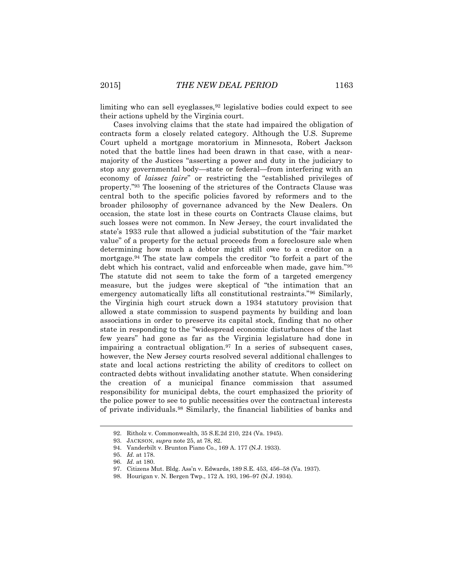limiting who can sell eyeglasses,  $92$  legislative bodies could expect to see their actions upheld by the Virginia court.

Cases involving claims that the state had impaired the obligation of contracts form a closely related category. Although the U.S. Supreme Court upheld a mortgage moratorium in Minnesota, Robert Jackson noted that the battle lines had been drawn in that case, with a nearmajority of the Justices "asserting a power and duty in the judiciary to stop any governmental body—state or federal—from interfering with an economy of *laissez faire*" or restricting the "established privileges of property."<sup>93</sup> The loosening of the strictures of the Contracts Clause was central both to the specific policies favored by reformers and to the broader philosophy of governance advanced by the New Dealers. On occasion, the state lost in these courts on Contracts Clause claims, but such losses were not common. In New Jersey, the court invalidated the state's 1933 rule that allowed a judicial substitution of the "fair market value" of a property for the actual proceeds from a foreclosure sale when determining how much a debtor might still owe to a creditor on a mortgage.<sup>94</sup> The state law compels the creditor "to forfeit a part of the debt which his contract, valid and enforceable when made, gave him."<sup>95</sup> The statute did not seem to take the form of a targeted emergency measure, but the judges were skeptical of "the intimation that an emergency automatically lifts all constitutional restraints."<sup>96</sup> Similarly, the Virginia high court struck down a 1934 statutory provision that allowed a state commission to suspend payments by building and loan associations in order to preserve its capital stock, finding that no other state in responding to the "widespread economic disturbances of the last few years" had gone as far as the Virginia legislature had done in impairing a contractual obligation.<sup>97</sup> In a series of subsequent cases, however, the New Jersey courts resolved several additional challenges to state and local actions restricting the ability of creditors to collect on contracted debts without invalidating another statute. When considering the creation of a municipal finance commission that assumed responsibility for municipal debts, the court emphasized the priority of the police power to see to public necessities over the contractual interests of private individuals.<sup>98</sup> Similarly, the financial liabilities of banks and

l

<sup>92.</sup> Ritholz v. Commonwealth, 35 S.E.2d 210, 224 (Va. 1945).

<sup>93.</sup> JACKSON, *supra* note 25, at 78, 82.

<sup>94.</sup> Vanderbilt v. Brunton Piano Co., 169 A. 177 (N.J. 1933).

<sup>95.</sup> *Id.* at 178.

<sup>96.</sup> *Id.* at 180.

<sup>97.</sup> Citizens Mut. Bldg. Ass'n v. Edwards, 189 S.E. 453, 456–58 (Va. 1937).

<sup>98.</sup> Hourigan v. N. Bergen Twp., 172 A. 193, 196–97 (N.J. 1934).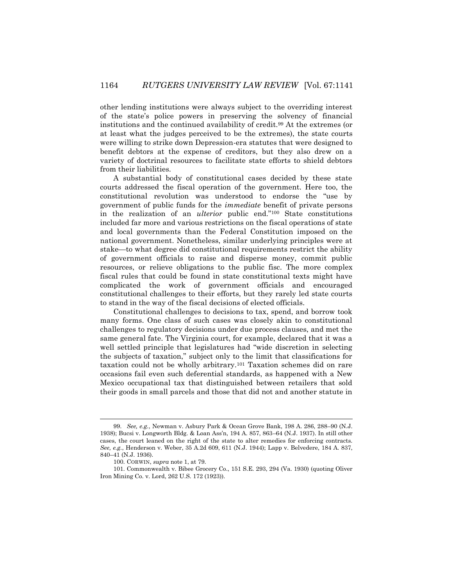other lending institutions were always subject to the overriding interest of the state's police powers in preserving the solvency of financial institutions and the continued availability of credit.<sup>99</sup> At the extremes (or at least what the judges perceived to be the extremes), the state courts were willing to strike down Depression-era statutes that were designed to benefit debtors at the expense of creditors, but they also drew on a variety of doctrinal resources to facilitate state efforts to shield debtors from their liabilities.

A substantial body of constitutional cases decided by these state courts addressed the fiscal operation of the government. Here too, the constitutional revolution was understood to endorse the "use by government of public funds for the *immediate* benefit of private persons in the realization of an *ulterior* public end."<sup>100</sup> State constitutions included far more and various restrictions on the fiscal operations of state and local governments than the Federal Constitution imposed on the national government. Nonetheless, similar underlying principles were at stake—to what degree did constitutional requirements restrict the ability of government officials to raise and disperse money, commit public resources, or relieve obligations to the public fisc. The more complex fiscal rules that could be found in state constitutional texts might have complicated the work of government officials and encouraged constitutional challenges to their efforts, but they rarely led state courts to stand in the way of the fiscal decisions of elected officials.

Constitutional challenges to decisions to tax, spend, and borrow took many forms. One class of such cases was closely akin to constitutional challenges to regulatory decisions under due process clauses, and met the same general fate. The Virginia court, for example, declared that it was a well settled principle that legislatures had "wide discretion in selecting the subjects of taxation," subject only to the limit that classifications for taxation could not be wholly arbitrary.<sup>101</sup> Taxation schemes did on rare occasions fail even such deferential standards, as happened with a New Mexico occupational tax that distinguished between retailers that sold their goods in small parcels and those that did not and another statute in

<sup>99.</sup> *See, e.g.*, Newman v. Asbury Park & Ocean Grove Bank, 198 A. 286, 288–90 (N.J. 1938); Bucsi v. Longworth Bldg. & Loan Ass'n, 194 A. 857, 863–64 (N.J. 1937). In still other cases, the court leaned on the right of the state to alter remedies for enforcing contracts. *See, e.g.*, Henderson v. Weber, 35 A.2d 609, 611 (N.J. 1944); Lapp v. Belvedere, 184 A. 837, 840–41 (N.J. 1936).

<sup>100.</sup> CORWIN, *supra* note 1, at 79.

<sup>101.</sup> Commonwealth v. Bibee Grocery Co., 151 S.E. 293, 294 (Va. 1930) (quoting Oliver Iron Mining Co. v. Lord, 262 U.S. 172 (1923)).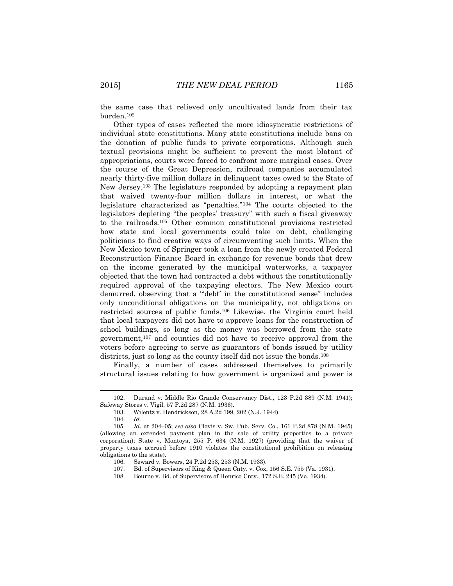the same case that relieved only uncultivated lands from their tax burden.<sup>102</sup>

Other types of cases reflected the more idiosyncratic restrictions of individual state constitutions. Many state constitutions include bans on the donation of public funds to private corporations. Although such textual provisions might be sufficient to prevent the most blatant of appropriations, courts were forced to confront more marginal cases. Over the course of the Great Depression, railroad companies accumulated nearly thirty-five million dollars in delinquent taxes owed to the State of New Jersey.<sup>103</sup> The legislature responded by adopting a repayment plan that waived twenty-four million dollars in interest, or what the legislature characterized as "penalties."<sup>104</sup> The courts objected to the legislators depleting "the peoples' treasury" with such a fiscal giveaway to the railroads.<sup>105</sup> Other common constitutional provisions restricted how state and local governments could take on debt, challenging politicians to find creative ways of circumventing such limits. When the New Mexico town of Springer took a loan from the newly created Federal Reconstruction Finance Board in exchange for revenue bonds that drew on the income generated by the municipal waterworks, a taxpayer objected that the town had contracted a debt without the constitutionally required approval of the taxpaying electors. The New Mexico court demurred, observing that a "'debt' in the constitutional sense" includes only unconditional obligations on the municipality, not obligations on restricted sources of public funds.<sup>106</sup> Likewise, the Virginia court held that local taxpayers did not have to approve loans for the construction of school buildings, so long as the money was borrowed from the state government,<sup>107</sup> and counties did not have to receive approval from the voters before agreeing to serve as guarantors of bonds issued by utility districts, just so long as the county itself did not issue the bonds.<sup>108</sup>

Finally, a number of cases addressed themselves to primarily structural issues relating to how government is organized and power is

<sup>102.</sup> Durand v. Middle Rio Grande Conservancy Dist., 123 P.2d 389 (N.M. 1941); Safeway Stores v. Vigil, 57 P.2d 287 (N.M. 1936).

<sup>103.</sup> Wilentz v. Hendrickson, 28 A.2d 199, 202 (N.J. 1944).

<sup>104.</sup> *Id.*

<sup>105.</sup> *Id.* at 204–05; *see also* Clovis v. Sw. Pub. Serv. Co., 161 P.2d 878 (N.M. 1945) (allowing an extended payment plan in the sale of utility properties to a private corporation); State v. Montoya, 255 P. 634 (N.M. 1927) (providing that the waiver of property taxes accrued before 1910 violates the constitutional prohibition on releasing obligations to the state).

<sup>106.</sup> Seward v. Bowers, 24 P.2d 253, 253 (N.M. 1933).

<sup>107.</sup> Bd. of Supervisors of King & Queen Cnty. v. Cox, 156 S.E. 755 (Va. 1931).

<sup>108.</sup> Bourne v. Bd. of Supervisors of Henrico Cnty., 172 S.E. 245 (Va. 1934).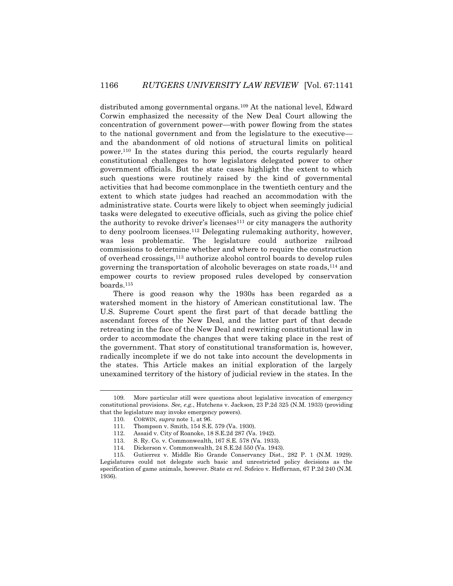distributed among governmental organs.<sup>109</sup> At the national level, Edward Corwin emphasized the necessity of the New Deal Court allowing the concentration of government power—with power flowing from the states to the national government and from the legislature to the executive and the abandonment of old notions of structural limits on political power.<sup>110</sup> In the states during this period, the courts regularly heard constitutional challenges to how legislators delegated power to other government officials. But the state cases highlight the extent to which such questions were routinely raised by the kind of governmental activities that had become commonplace in the twentieth century and the extent to which state judges had reached an accommodation with the administrative state. Courts were likely to object when seemingly judicial tasks were delegated to executive officials, such as giving the police chief the authority to revoke driver's licenses<sup>111</sup> or city managers the authority to deny poolroom licenses.<sup>112</sup> Delegating rulemaking authority, however, was less problematic. The legislature could authorize railroad commissions to determine whether and where to require the construction of overhead crossings,<sup>113</sup> authorize alcohol control boards to develop rules governing the transportation of alcoholic beverages on state roads,<sup>114</sup> and empower courts to review proposed rules developed by conservation boards.<sup>115</sup>

There is good reason why the 1930s has been regarded as a watershed moment in the history of American constitutional law. The U.S. Supreme Court spent the first part of that decade battling the ascendant forces of the New Deal, and the latter part of that decade retreating in the face of the New Deal and rewriting constitutional law in order to accommodate the changes that were taking place in the rest of the government. That story of constitutional transformation is, however, radically incomplete if we do not take into account the developments in the states. This Article makes an initial exploration of the largely unexamined territory of the history of judicial review in the states. In the

<sup>109.</sup> More particular still were questions about legislative invocation of emergency constitutional provisions. *See, e.g.*, Hutchens v. Jackson, 23 P.2d 325 (N.M. 1933) (providing that the legislature may invoke emergency powers).

<sup>110.</sup> CORWIN, *supra* note 1, at 96.

<sup>111.</sup> Thompson v. Smith, 154 S.E. 579 (Va. 1930).

<sup>112.</sup> Assaid v. City of Roanoke, 18 S.E.2d 287 (Va. 1942).

<sup>113.</sup> S. Ry. Co. v. Commonwealth, 167 S.E. 578 (Va. 1933).

<sup>114.</sup> Dickerson v. Commonwealth, 24 S.E.2d 550 (Va. 1943).

<sup>115.</sup> Gutierrez v. Middle Rio Grande Conservancy Dist., 282 P. 1 (N.M. 1929). Legislatures could not delegate such basic and unrestricted policy decisions as the specification of game animals, however. State *ex rel.* Sofeico v. Heffernan, 67 P.2d 240 (N.M. 1936).